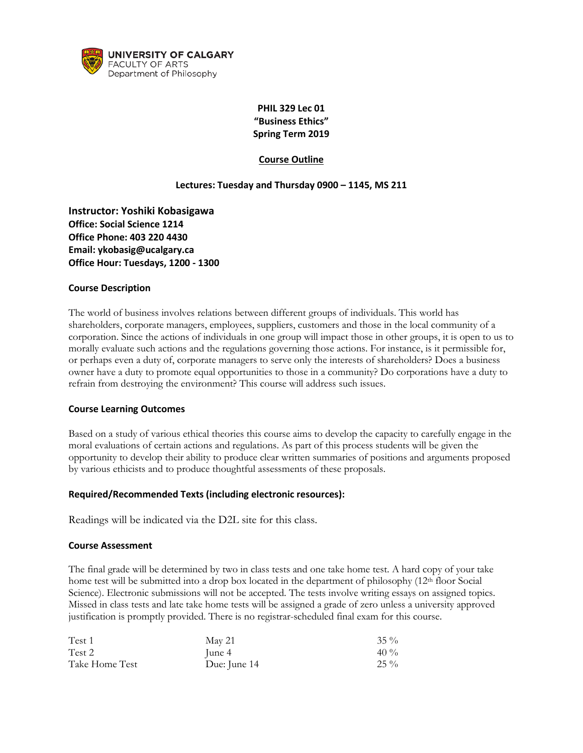

# **PHIL 329 Lec 01 "Business Ethics" Spring Term 2019**

### **Course Outline**

#### **Lectures: Tuesday and Thursday 0900 – 1145, MS 211**

**Instructor: Yoshiki Kobasigawa Office: Social Science 1214 Office Phone: 403 220 4430 Email: ykobasig@ucalgary.ca Office Hour: Tuesdays, 1200 - 1300** 

#### **Course Description**

The world of business involves relations between different groups of individuals. This world has shareholders, corporate managers, employees, suppliers, customers and those in the local community of a corporation. Since the actions of individuals in one group will impact those in other groups, it is open to us to morally evaluate such actions and the regulations governing those actions. For instance, is it permissible for, or perhaps even a duty of, corporate managers to serve only the interests of shareholders? Does a business owner have a duty to promote equal opportunities to those in a community? Do corporations have a duty to refrain from destroying the environment? This course will address such issues.

#### **Course Learning Outcomes**

Based on a study of various ethical theories this course aims to develop the capacity to carefully engage in the moral evaluations of certain actions and regulations. As part of this process students will be given the opportunity to develop their ability to produce clear written summaries of positions and arguments proposed by various ethicists and to produce thoughtful assessments of these proposals.

#### **Required/Recommended Texts (including electronic resources):**

Readings will be indicated via the D2L site for this class.

#### **Course Assessment**

The final grade will be determined by two in class tests and one take home test. A hard copy of your take home test will be submitted into a drop box located in the department of philosophy (12<sup>th</sup> floor Social Science). Electronic submissions will not be accepted. The tests involve writing essays on assigned topics. Missed in class tests and late take home tests will be assigned a grade of zero unless a university approved justification is promptly provided. There is no registrar-scheduled final exam for this course.

| Test 1         | May 21       | $35\%$ |
|----------------|--------------|--------|
| Test 2         | June 4       | $40\%$ |
| Take Home Test | Due: June 14 | $25\%$ |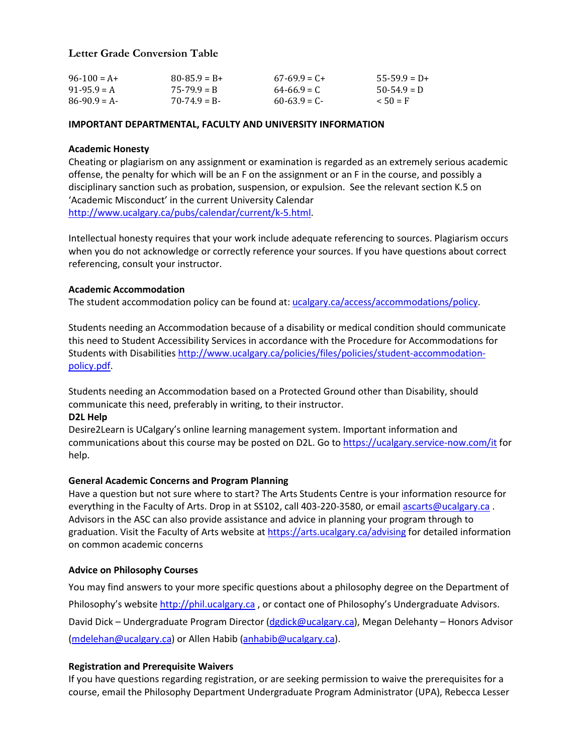# **Letter Grade Conversion Table**

| $96 - 100 = A +$ | $80 - 85.9 = B +$ | $67-69.9 = C+$  | $55-59.9 = D+$ |
|------------------|-------------------|-----------------|----------------|
| $91-95.9 = A$    | $75 - 79.9 = R$   | $64 - 66.9 = C$ | $50-54.9 = D$  |
| $86-90.9 = A$    | $70-74.9 = B$     | $60-63.9 = C$   | $50 = F$       |

#### **IMPORTANT DEPARTMENTAL, FACULTY AND UNIVERSITY INFORMATION**

#### **Academic Honesty**

Cheating or plagiarism on any assignment or examination is regarded as an extremely serious academic offense, the penalty for which will be an F on the assignment or an F in the course, and possibly a disciplinary sanction such as probation, suspension, or expulsion. See the relevant section K.5 on 'Academic Misconduct' in the current University Calendar [http://www.ucalgary.ca/pubs/calendar/current/k-5.html.](http://www.ucalgary.ca/pubs/calendar/current/k-5.html)

Intellectual honesty requires that your work include adequate referencing to sources. Plagiarism occurs when you do not acknowledge or correctly reference your sources. If you have questions about correct referencing, consult your instructor.

#### **Academic Accommodation**

The student accommodation policy can be found at: [ucalgary.ca/access/accommodations/policy.](http://www.ucalgary.ca/access/accommodations/policy)

Students needing an Accommodation because of a disability or medical condition should communicate this need to Student Accessibility Services in accordance with the Procedure for Accommodations for Students with Disabilities [http://www.ucalgary.ca/policies/files/policies/student-accommodation](http://www.ucalgary.ca/policies/files/policies/student-accommodation-policy.pdf)[policy.pdf.](http://www.ucalgary.ca/policies/files/policies/student-accommodation-policy.pdf)

Students needing an Accommodation based on a Protected Ground other than Disability, should communicate this need, preferably in writing, to their instructor.

#### **D2L Help**

Desire2Learn is UCalgary's online learning management system. Important information and communications about this course may be posted on D2L. Go t[o https://ucalgary.service-now.com/it](https://ucalgary.service-now.com/it) for help.

#### **General Academic Concerns and Program Planning**

Have a question but not sure where to start? The Arts Students Centre is your information resource for everything in the Faculty of Arts. Drop in at SS102, call 403-220-3580, or email [ascarts@ucalgary.ca](mailto:ascarts@ucalgary.ca). Advisors in the ASC can also provide assistance and advice in planning your program through to graduation. Visit the Faculty of Arts website at<https://arts.ucalgary.ca/advising> for detailed information on common academic concerns

#### **Advice on Philosophy Courses**

You may find answers to your more specific questions about a philosophy degree on the Department of Philosophy's website [http://phil.ucalgary.ca](http://phil.ucalgary.ca/) , or contact one of Philosophy's Undergraduate Advisors. David Dick – Undergraduate Program Director [\(dgdick@ucalgary.ca\)](mailto:dgdick@ucalgary.ca), Megan Delehanty – Honors Advisor [\(mdelehan@ucalgary.ca\)](mailto:mdelehan@ucalgary.ca) or Allen Habib [\(anhabib@ucalgary.ca\)](mailto:anhabib@ucalgary.ca).

### **Registration and Prerequisite Waivers**

If you have questions regarding registration, or are seeking permission to waive the prerequisites for a course, email the Philosophy Department Undergraduate Program Administrator (UPA), Rebecca Lesser